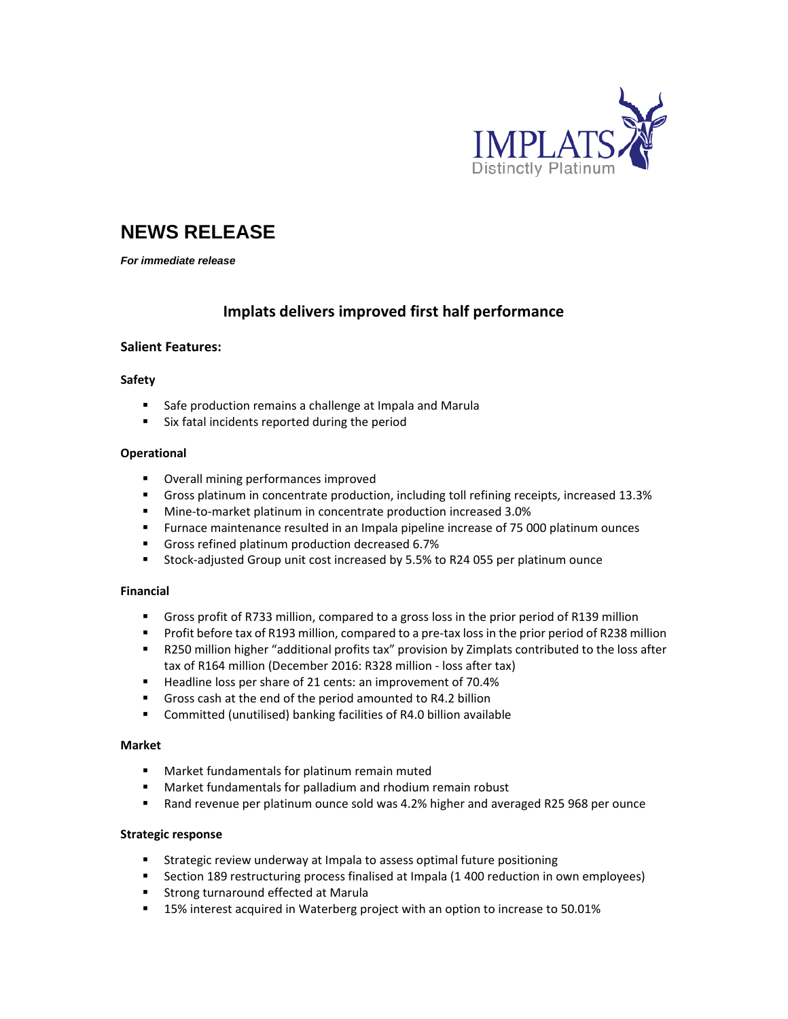

# **NEWS RELEASE**

*For immediate release* 

# **Implats delivers improved first half performance**

# **Salient Features:**

# **Safety**

- Safe production remains a challenge at Impala and Marula
- Six fatal incidents reported during the period

# **Operational**

- Overall mining performances improved
- Gross platinum in concentrate production, including toll refining receipts, increased 13.3%
- Mine-to-market platinum in concentrate production increased 3.0%
- Furnace maintenance resulted in an Impala pipeline increase of 75 000 platinum ounces
- Gross refined platinum production decreased 6.7%
- Stock-adjusted Group unit cost increased by 5.5% to R24 055 per platinum ounce

# **Financial**

- Gross profit of R733 million, compared to a gross loss in the prior period of R139 million
- Profit before tax of R193 million, compared to a pre-tax loss in the prior period of R238 million
- R250 million higher "additional profits tax" provision by Zimplats contributed to the loss after tax of R164 million (December 2016: R328 million ‐ loss after tax)
- Headline loss per share of 21 cents: an improvement of 70.4%
- Gross cash at the end of the period amounted to R4.2 billion
- Committed (unutilised) banking facilities of R4.0 billion available

#### **Market**

- Market fundamentals for platinum remain muted
- Market fundamentals for palladium and rhodium remain robust
- Rand revenue per platinum ounce sold was 4.2% higher and averaged R25 968 per ounce

# **Strategic response**

- **EXTERGIVE 2018 12 Strategic review underway at Impala to assess optimal future positioning**
- **Section 189 restructuring process finalised at Impala (1 400 reduction in own employees)**
- **EXTERG** Strong turnaround effected at Marula
- 15% interest acquired in Waterberg project with an option to increase to 50.01%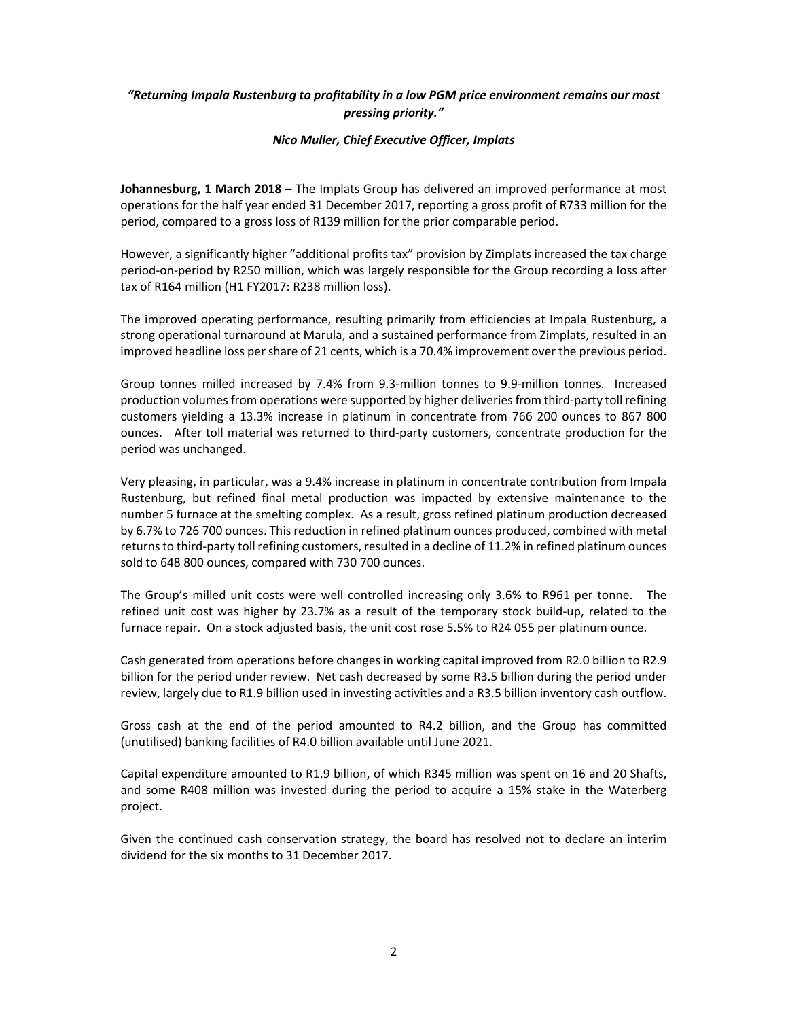# *"Returning Impala Rustenburg to profitability in a low PGM price environment remains our most pressing priority."*

# *Nico Muller, Chief Executive Officer, Implats*

**Johannesburg, 1 March 2018** – The Implats Group has delivered an improved performance at most operations for the half year ended 31 December 2017, reporting a gross profit of R733 million for the period, compared to a gross loss of R139 million for the prior comparable period.

However, a significantly higher "additional profits tax" provision by Zimplats increased the tax charge period‐on‐period by R250 million, which was largely responsible for the Group recording a loss after tax of R164 million (H1 FY2017: R238 million loss).

The improved operating performance, resulting primarily from efficiencies at Impala Rustenburg, a strong operational turnaround at Marula, and a sustained performance from Zimplats, resulted in an improved headline loss pershare of 21 cents, which is a 70.4% improvement over the previous period.

Group tonnes milled increased by 7.4% from 9.3‐million tonnes to 9.9‐million tonnes. Increased production volumes from operations were supported by higher deliveries from third-party toll refining customers yielding a 13.3% increase in platinum in concentrate from 766 200 ounces to 867 800 ounces. After toll material was returned to third-party customers, concentrate production for the period was unchanged.

Very pleasing, in particular, was a 9.4% increase in platinum in concentrate contribution from Impala Rustenburg, but refined final metal production was impacted by extensive maintenance to the number 5 furnace at the smelting complex. As a result, gross refined platinum production decreased by 6.7% to 726 700 ounces. Thisreduction in refined platinum ounces produced, combined with metal returns to third-party toll refining customers, resulted in a decline of 11.2% in refined platinum ounces sold to 648 800 ounces, compared with 730 700 ounces.

The Group's milled unit costs were well controlled increasing only 3.6% to R961 per tonne. The refined unit cost was higher by 23.7% as a result of the temporary stock build‐up, related to the furnace repair. On a stock adjusted basis, the unit cost rose 5.5% to R24 055 per platinum ounce.

Cash generated from operations before changes in working capital improved from R2.0 billion to R2.9 billion for the period under review. Net cash decreased by some R3.5 billion during the period under review, largely due to R1.9 billion used in investing activities and a R3.5 billion inventory cash outflow.

Gross cash at the end of the period amounted to R4.2 billion, and the Group has committed (unutilised) banking facilities of R4.0 billion available until June 2021.

Capital expenditure amounted to R1.9 billion, of which R345 million was spent on 16 and 20 Shafts, and some R408 million was invested during the period to acquire a 15% stake in the Waterberg project.

Given the continued cash conservation strategy, the board has resolved not to declare an interim dividend for the six months to 31 December 2017.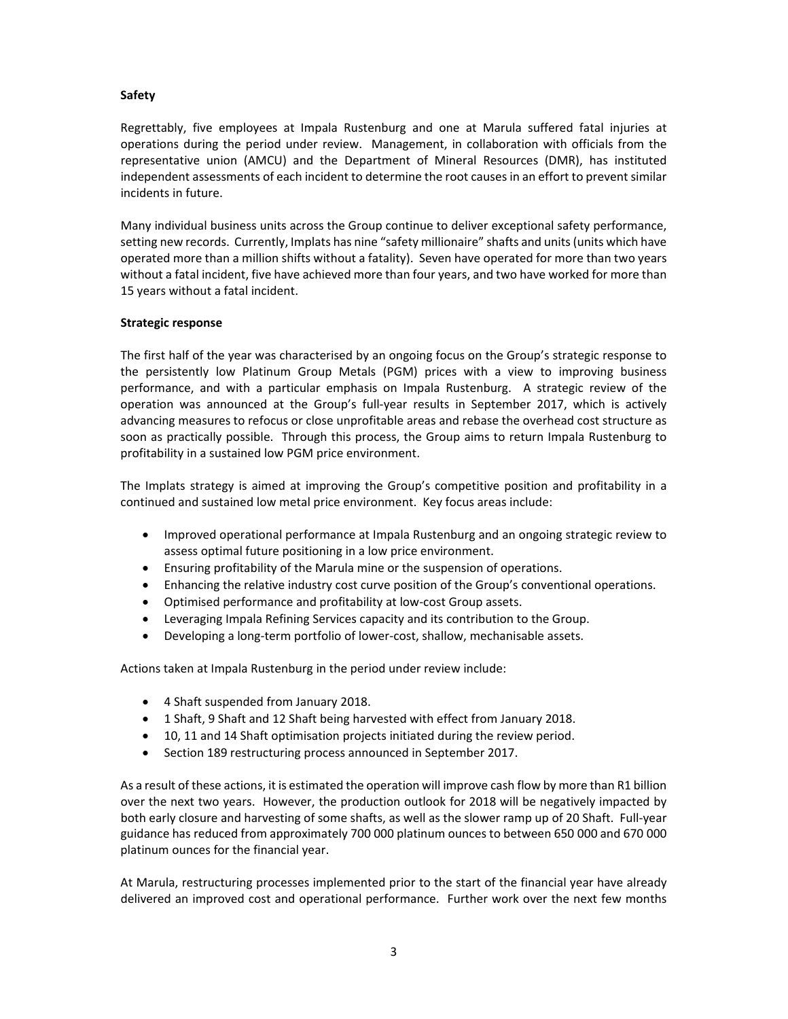# **Safety**

Regrettably, five employees at Impala Rustenburg and one at Marula suffered fatal injuries at operations during the period under review. Management, in collaboration with officials from the representative union (AMCU) and the Department of Mineral Resources (DMR), has instituted independent assessments of each incident to determine the root causes in an effort to prevent similar incidents in future.

Many individual business units across the Group continue to deliver exceptional safety performance, setting new records. Currently, Implats has nine "safety millionaire" shafts and units (units which have operated more than a million shifts without a fatality). Seven have operated for more than two years without a fatal incident, five have achieved more than four years, and two have worked for more than 15 years without a fatal incident.

# **Strategic response**

The first half of the year was characterised by an ongoing focus on the Group's strategic response to the persistently low Platinum Group Metals (PGM) prices with a view to improving business performance, and with a particular emphasis on Impala Rustenburg. A strategic review of the operation was announced at the Group's full‐year results in September 2017, which is actively advancing measures to refocus or close unprofitable areas and rebase the overhead cost structure as soon as practically possible. Through this process, the Group aims to return Impala Rustenburg to profitability in a sustained low PGM price environment.

The Implats strategy is aimed at improving the Group's competitive position and profitability in a continued and sustained low metal price environment. Key focus areas include:

- Improved operational performance at Impala Rustenburg and an ongoing strategic review to assess optimal future positioning in a low price environment.
- Ensuring profitability of the Marula mine or the suspension of operations.
- Enhancing the relative industry cost curve position of the Group's conventional operations.
- Optimised performance and profitability at low‐cost Group assets.
- Leveraging Impala Refining Services capacity and its contribution to the Group.
- Developing a long‐term portfolio of lower‐cost, shallow, mechanisable assets.

Actions taken at Impala Rustenburg in the period under review include:

- 4 Shaft suspended from January 2018.
- 1 Shaft, 9 Shaft and 12 Shaft being harvested with effect from January 2018.
- 10, 11 and 14 Shaft optimisation projects initiated during the review period.
- Section 189 restructuring process announced in September 2017.

As a result of these actions, it is estimated the operation will improve cash flow by more than R1 billion over the next two years. However, the production outlook for 2018 will be negatively impacted by both early closure and harvesting of some shafts, as well as the slower ramp up of 20 Shaft. Full‐year guidance has reduced from approximately 700 000 platinum ounces to between 650 000 and 670 000 platinum ounces for the financial year.

At Marula, restructuring processes implemented prior to the start of the financial year have already delivered an improved cost and operational performance. Further work over the next few months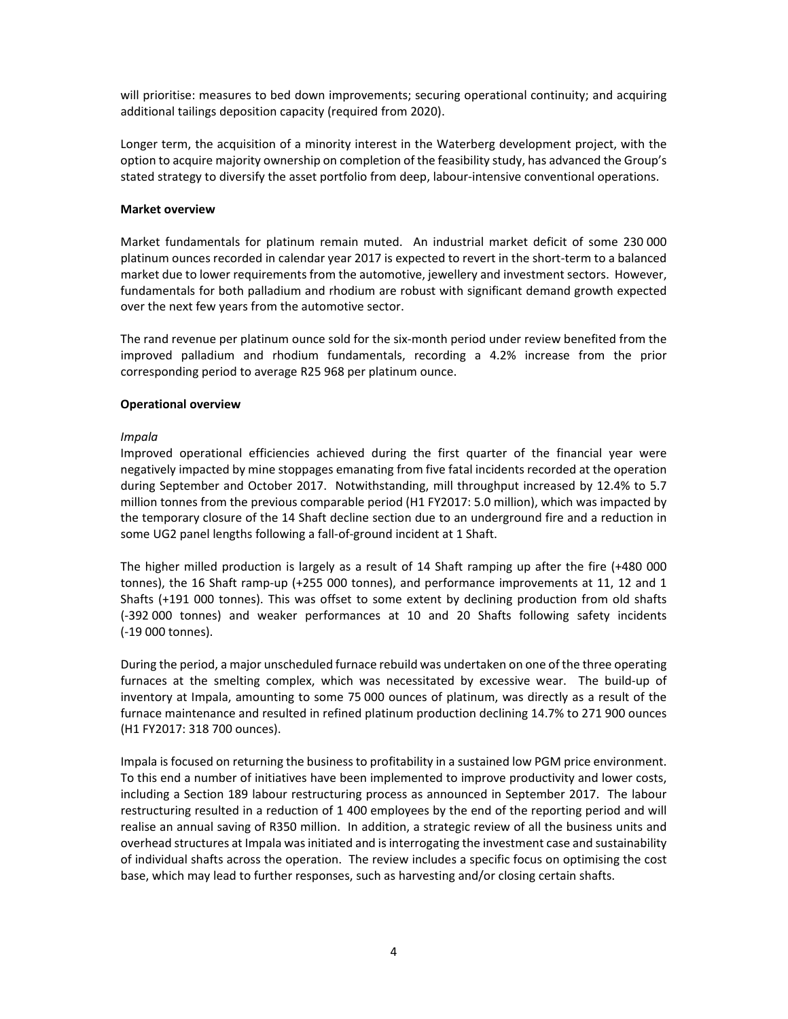will prioritise: measures to bed down improvements; securing operational continuity; and acquiring additional tailings deposition capacity (required from 2020).

Longer term, the acquisition of a minority interest in the Waterberg development project, with the option to acquire majority ownership on completion of the feasibility study, has advanced the Group's stated strategy to diversify the asset portfolio from deep, labour‐intensive conventional operations.

#### **Market overview**

Market fundamentals for platinum remain muted. An industrial market deficit of some 230 000 platinum ounces recorded in calendar year 2017 is expected to revert in the short‐term to a balanced market due to lower requirements from the automotive, jewellery and investment sectors. However, fundamentals for both palladium and rhodium are robust with significant demand growth expected over the next few years from the automotive sector.

The rand revenue per platinum ounce sold for the six‐month period under review benefited from the improved palladium and rhodium fundamentals, recording a 4.2% increase from the prior corresponding period to average R25 968 per platinum ounce.

#### **Operational overview**

#### *Impala*

Improved operational efficiencies achieved during the first quarter of the financial year were negatively impacted by mine stoppages emanating from five fatal incidents recorded at the operation during September and October 2017. Notwithstanding, mill throughput increased by 12.4% to 5.7 million tonnes from the previous comparable period (H1 FY2017: 5.0 million), which was impacted by the temporary closure of the 14 Shaft decline section due to an underground fire and a reduction in some UG2 panel lengths following a fall‐of‐ground incident at 1 Shaft.

The higher milled production is largely as a result of 14 Shaft ramping up after the fire (+480 000 tonnes), the 16 Shaft ramp‐up (+255 000 tonnes), and performance improvements at 11, 12 and 1 Shafts (+191 000 tonnes). This was offset to some extent by declining production from old shafts (‐392 000 tonnes) and weaker performances at 10 and 20 Shafts following safety incidents (‐19 000 tonnes).

During the period, a major unscheduled furnace rebuild was undertaken on one of the three operating furnaces at the smelting complex, which was necessitated by excessive wear. The build-up of inventory at Impala, amounting to some 75 000 ounces of platinum, was directly as a result of the furnace maintenance and resulted in refined platinum production declining 14.7% to 271 900 ounces (H1 FY2017: 318 700 ounces).

Impala is focused on returning the businessto profitability in a sustained low PGM price environment. To this end a number of initiatives have been implemented to improve productivity and lower costs, including a Section 189 labour restructuring process as announced in September 2017. The labour restructuring resulted in a reduction of 1 400 employees by the end of the reporting period and will realise an annual saving of R350 million. In addition, a strategic review of all the business units and overhead structures at Impala was initiated and is interrogating the investment case and sustainability of individual shafts across the operation. The review includes a specific focus on optimising the cost base, which may lead to further responses, such as harvesting and/or closing certain shafts.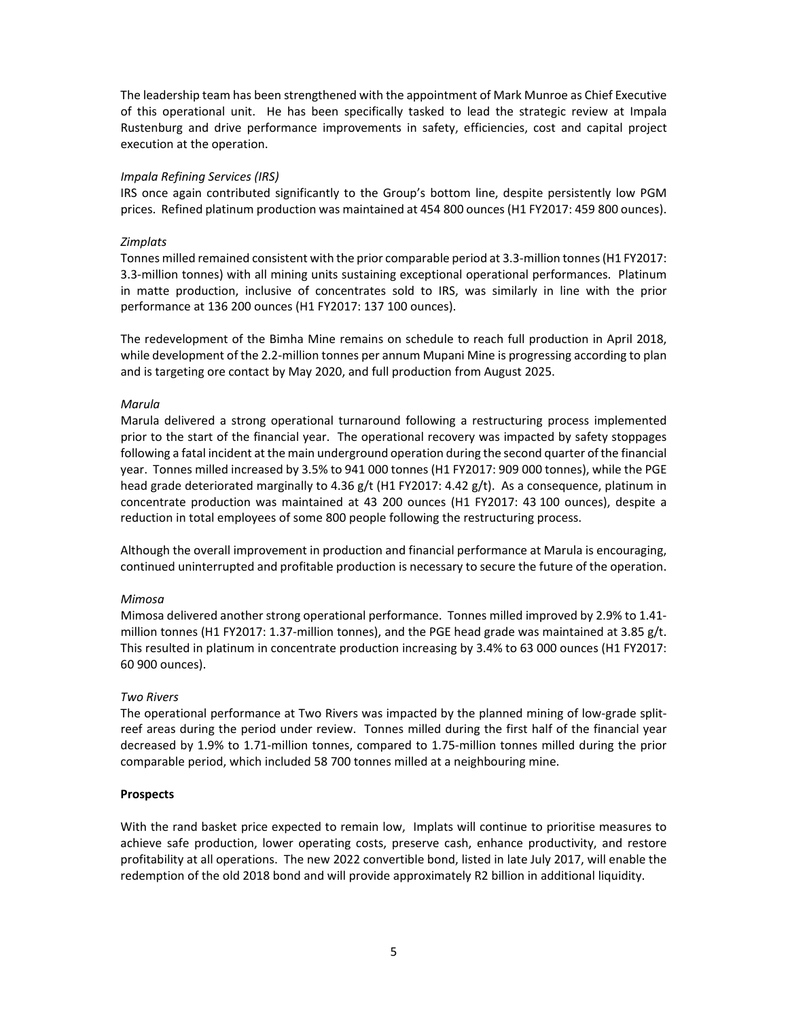The leadership team has been strengthened with the appointment of Mark Munroe as Chief Executive of this operational unit. He has been specifically tasked to lead the strategic review at Impala Rustenburg and drive performance improvements in safety, efficiencies, cost and capital project execution at the operation.

#### *Impala Refining Services (IRS)*

IRS once again contributed significantly to the Group's bottom line, despite persistently low PGM prices. Refined platinum production was maintained at 454 800 ounces (H1 FY2017: 459 800 ounces).

#### *Zimplats*

Tonnes milled remained consistent with the prior comparable period at 3.3‐million tonnes(H1 FY2017: 3.3‐million tonnes) with all mining units sustaining exceptional operational performances. Platinum in matte production, inclusive of concentrates sold to IRS, was similarly in line with the prior performance at 136 200 ounces (H1 FY2017: 137 100 ounces).

The redevelopment of the Bimha Mine remains on schedule to reach full production in April 2018, while development of the 2.2‐million tonnes per annum Mupani Mine is progressing according to plan and is targeting ore contact by May 2020, and full production from August 2025.

#### *Marula*

Marula delivered a strong operational turnaround following a restructuring process implemented prior to the start of the financial year. The operational recovery was impacted by safety stoppages following a fatal incident at the main underground operation during the second quarter ofthe financial year. Tonnes milled increased by 3.5% to 941 000 tonnes (H1 FY2017: 909 000 tonnes), while the PGE head grade deteriorated marginally to 4.36 g/t (H1 FY2017: 4.42 g/t). As a consequence, platinum in concentrate production was maintained at 43 200 ounces (H1 FY2017: 43 100 ounces), despite a reduction in total employees of some 800 people following the restructuring process.

Although the overall improvement in production and financial performance at Marula is encouraging, continued uninterrupted and profitable production is necessary to secure the future of the operation.

# *Mimosa*

Mimosa delivered another strong operational performance. Tonnes milled improved by 2.9% to 1.41‐ million tonnes (H1 FY2017: 1.37-million tonnes), and the PGE head grade was maintained at 3.85 g/t. This resulted in platinum in concentrate production increasing by 3.4% to 63 000 ounces (H1 FY2017: 60 900 ounces).

# *Two Rivers*

The operational performance at Two Rivers was impacted by the planned mining of low-grade splitreef areas during the period under review. Tonnes milled during the first half of the financial year decreased by 1.9% to 1.71‐million tonnes, compared to 1.75‐million tonnes milled during the prior comparable period, which included 58 700 tonnes milled at a neighbouring mine.

# **Prospects**

With the rand basket price expected to remain low, Implats will continue to prioritise measures to achieve safe production, lower operating costs, preserve cash, enhance productivity, and restore profitability at all operations. The new 2022 convertible bond, listed in late July 2017, will enable the redemption of the old 2018 bond and will provide approximately R2 billion in additional liquidity.